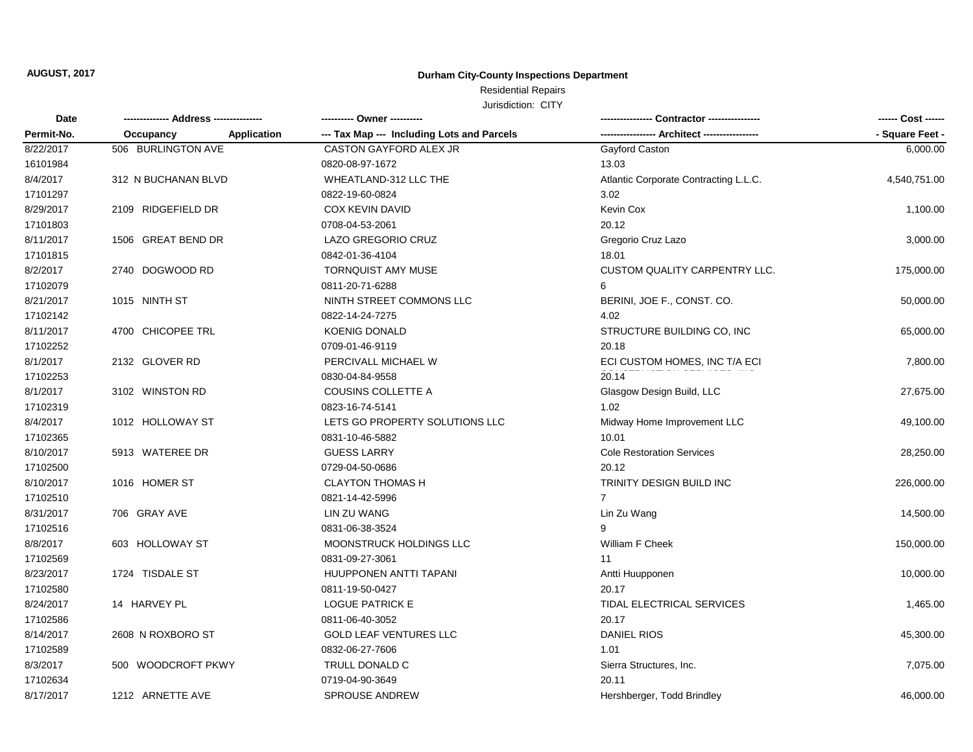# Residential Repairs

| Date<br>Permit-No. |                     |                    | ---------- Owner ----------                |                                       | ------ Cost ------ |
|--------------------|---------------------|--------------------|--------------------------------------------|---------------------------------------|--------------------|
|                    | Occupancy           | <b>Application</b> | --- Tax Map --- Including Lots and Parcels |                                       | - Square Feet -    |
| 8/22/2017          | 506 BURLINGTON AVE  |                    | CASTON GAYFORD ALEX JR                     | Gayford Caston                        | 6,000.00           |
| 16101984           |                     |                    | 0820-08-97-1672                            | 13.03                                 |                    |
| 8/4/2017           | 312 N BUCHANAN BLVD |                    | WHEATLAND-312 LLC THE                      | Atlantic Corporate Contracting L.L.C. | 4,540,751.00       |
| 17101297           |                     |                    | 0822-19-60-0824                            | 3.02                                  |                    |
| 8/29/2017          | 2109 RIDGEFIELD DR  |                    | <b>COX KEVIN DAVID</b>                     | Kevin Cox                             | 1,100.00           |
| 17101803           |                     |                    | 0708-04-53-2061                            | 20.12                                 |                    |
| 8/11/2017          | 1506 GREAT BEND DR  |                    | <b>LAZO GREGORIO CRUZ</b>                  | Gregorio Cruz Lazo                    | 3,000.00           |
| 17101815           |                     |                    | 0842-01-36-4104                            | 18.01                                 |                    |
| 8/2/2017           | 2740 DOGWOOD RD     |                    | <b>TORNQUIST AMY MUSE</b>                  | CUSTOM QUALITY CARPENTRY LLC.         | 175,000.00         |
| 17102079           |                     |                    | 0811-20-71-6288                            | 6                                     |                    |
| 8/21/2017          | 1015 NINTH ST       |                    | NINTH STREET COMMONS LLC                   | BERINI, JOE F., CONST. CO.            | 50,000.00          |
| 17102142           |                     |                    | 0822-14-24-7275                            | 4.02                                  |                    |
| 8/11/2017          | 4700 CHICOPEE TRL   |                    | <b>KOENIG DONALD</b>                       | STRUCTURE BUILDING CO, INC            | 65,000.00          |
| 17102252           |                     |                    | 0709-01-46-9119                            | 20.18                                 |                    |
| 8/1/2017           | 2132 GLOVER RD      |                    | PERCIVALL MICHAEL W                        | ECI CUSTOM HOMES, INC T/A ECI         | 7,800.00           |
| 17102253           |                     |                    | 0830-04-84-9558                            | 20.14                                 |                    |
| 8/1/2017           | 3102 WINSTON RD     |                    | COUSINS COLLETTE A                         | Glasgow Design Build, LLC             | 27,675.00          |
| 17102319           |                     |                    | 0823-16-74-5141                            | 1.02                                  |                    |
| 8/4/2017           | 1012 HOLLOWAY ST    |                    | LETS GO PROPERTY SOLUTIONS LLC             | Midway Home Improvement LLC           | 49,100.00          |
| 17102365           |                     |                    | 0831-10-46-5882                            | 10.01                                 |                    |
| 8/10/2017          | 5913 WATEREE DR     |                    | <b>GUESS LARRY</b>                         | <b>Cole Restoration Services</b>      | 28,250.00          |
| 17102500           |                     |                    | 0729-04-50-0686                            | 20.12                                 |                    |
| 8/10/2017          | 1016 HOMER ST       |                    | <b>CLAYTON THOMAS H</b>                    | TRINITY DESIGN BUILD INC              | 226,000.00         |
| 17102510           |                     |                    | 0821-14-42-5996                            | $\overline{7}$                        |                    |
| 8/31/2017          | 706 GRAY AVE        |                    | LIN ZU WANG                                | Lin Zu Wang                           | 14,500.00          |
| 17102516           |                     |                    | 0831-06-38-3524                            |                                       |                    |
| 8/8/2017           | 603 HOLLOWAY ST     |                    | MOONSTRUCK HOLDINGS LLC                    | William F Cheek                       | 150,000.00         |
| 17102569           |                     |                    | 0831-09-27-3061                            | 11                                    |                    |
| 8/23/2017          | 1724 TISDALE ST     |                    | HUUPPONEN ANTTI TAPANI                     | Antti Huupponen                       | 10,000.00          |
| 17102580           |                     |                    | 0811-19-50-0427                            | 20.17                                 |                    |
| 8/24/2017          | 14 HARVEY PL        |                    | <b>LOGUE PATRICK E</b>                     | TIDAL ELECTRICAL SERVICES             | 1,465.00           |
| 17102586           |                     |                    | 0811-06-40-3052                            | 20.17                                 |                    |
| 8/14/2017          | 2608 N ROXBORO ST   |                    | <b>GOLD LEAF VENTURES LLC</b>              | <b>DANIEL RIOS</b>                    | 45,300.00          |
| 17102589           |                     |                    | 0832-06-27-7606                            | 1.01                                  |                    |
| 8/3/2017           | 500 WOODCROFT PKWY  |                    | TRULL DONALD C                             | Sierra Structures, Inc.               | 7,075.00           |
| 17102634           |                     |                    | 0719-04-90-3649                            | 20.11                                 |                    |
| 8/17/2017          | 1212 ARNETTE AVE    |                    | <b>SPROUSE ANDREW</b>                      | Hershberger, Todd Brindley            | 46,000.00          |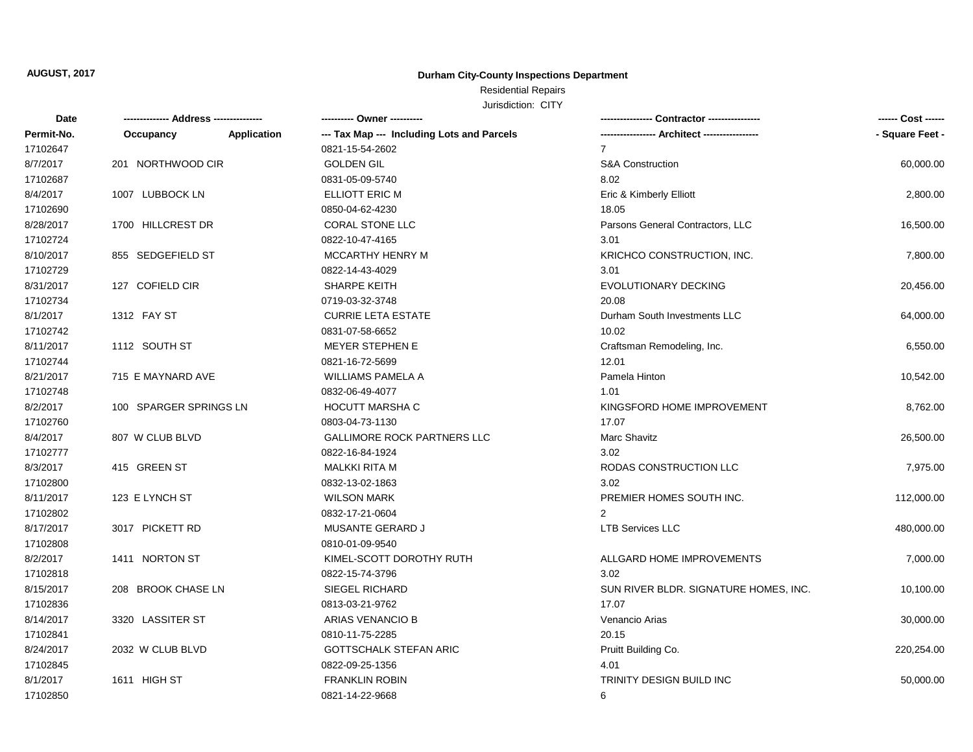# Residential Repairs

| Date       | -------------- Address --------------- |             | ---------- Owner ----------                |                                       | ------ Cost ------ |
|------------|----------------------------------------|-------------|--------------------------------------------|---------------------------------------|--------------------|
| Permit-No. | Occupancy                              | Application | --- Tax Map --- Including Lots and Parcels |                                       | - Square Feet -    |
| 17102647   |                                        |             | 0821-15-54-2602                            | $\overline{7}$                        |                    |
| 8/7/2017   | 201 NORTHWOOD CIR                      |             | <b>GOLDEN GIL</b>                          | <b>S&amp;A Construction</b>           | 60,000.00          |
| 17102687   |                                        |             | 0831-05-09-5740                            | 8.02                                  |                    |
| 8/4/2017   | 1007 LUBBOCK LN                        |             | ELLIOTT ERIC M                             | Eric & Kimberly Elliott               | 2,800.00           |
| 17102690   |                                        |             | 0850-04-62-4230                            | 18.05                                 |                    |
| 8/28/2017  | 1700 HILLCREST DR                      |             | <b>CORAL STONE LLC</b>                     | Parsons General Contractors, LLC      | 16,500.00          |
| 17102724   |                                        |             | 0822-10-47-4165                            | 3.01                                  |                    |
| 8/10/2017  | 855 SEDGEFIELD ST                      |             | MCCARTHY HENRY M                           | KRICHCO CONSTRUCTION, INC.            | 7,800.00           |
| 17102729   |                                        |             | 0822-14-43-4029                            | 3.01                                  |                    |
| 8/31/2017  | 127 COFIELD CIR                        |             | SHARPE KEITH                               | EVOLUTIONARY DECKING                  | 20,456.00          |
| 17102734   |                                        |             | 0719-03-32-3748                            | 20.08                                 |                    |
| 8/1/2017   | 1312 FAY ST                            |             | <b>CURRIE LETA ESTATE</b>                  | Durham South Investments LLC          | 64,000.00          |
| 17102742   |                                        |             | 0831-07-58-6652                            | 10.02                                 |                    |
| 8/11/2017  | 1112 SOUTH ST                          |             | <b>MEYER STEPHEN E</b>                     | Craftsman Remodeling, Inc.            | 6,550.00           |
| 17102744   |                                        |             | 0821-16-72-5699                            | 12.01                                 |                    |
| 8/21/2017  | 715 E MAYNARD AVE                      |             | WILLIAMS PAMELA A                          | Pamela Hinton                         | 10,542.00          |
| 17102748   |                                        |             | 0832-06-49-4077                            | 1.01                                  |                    |
| 8/2/2017   | 100 SPARGER SPRINGS LN                 |             | <b>HOCUTT MARSHA C</b>                     | KINGSFORD HOME IMPROVEMENT            | 8,762.00           |
| 17102760   |                                        |             | 0803-04-73-1130                            | 17.07                                 |                    |
| 8/4/2017   | 807 W CLUB BLVD                        |             | <b>GALLIMORE ROCK PARTNERS LLC</b>         | Marc Shavitz                          | 26,500.00          |
| 17102777   |                                        |             | 0822-16-84-1924                            | 3.02                                  |                    |
| 8/3/2017   | 415 GREEN ST                           |             | <b>MALKKI RITA M</b>                       | RODAS CONSTRUCTION LLC                | 7,975.00           |
| 17102800   |                                        |             | 0832-13-02-1863                            | 3.02                                  |                    |
| 8/11/2017  | 123 E LYNCH ST                         |             | <b>WILSON MARK</b>                         | PREMIER HOMES SOUTH INC.              | 112,000.00         |
| 17102802   |                                        |             | 0832-17-21-0604                            | 2                                     |                    |
| 8/17/2017  | 3017 PICKETT RD                        |             | MUSANTE GERARD J                           | <b>LTB Services LLC</b>               | 480,000.00         |
| 17102808   |                                        |             | 0810-01-09-9540                            |                                       |                    |
| 8/2/2017   | 1411 NORTON ST                         |             | KIMEL-SCOTT DOROTHY RUTH                   | ALLGARD HOME IMPROVEMENTS             | 7,000.00           |
| 17102818   |                                        |             | 0822-15-74-3796                            | 3.02                                  |                    |
| 8/15/2017  | 208 BROOK CHASE LN                     |             | SIEGEL RICHARD                             | SUN RIVER BLDR. SIGNATURE HOMES, INC. | 10,100.00          |
| 17102836   |                                        |             | 0813-03-21-9762                            | 17.07                                 |                    |
| 8/14/2017  | 3320 LASSITER ST                       |             | ARIAS VENANCIO B                           | Venancio Arias                        | 30,000.00          |
| 17102841   |                                        |             | 0810-11-75-2285                            | 20.15                                 |                    |
| 8/24/2017  | 2032 W CLUB BLVD                       |             | <b>GOTTSCHALK STEFAN ARIC</b>              | Pruitt Building Co.                   | 220,254.00         |
| 17102845   |                                        |             | 0822-09-25-1356                            | 4.01                                  |                    |
| 8/1/2017   | 1611 HIGH ST                           |             | <b>FRANKLIN ROBIN</b>                      | TRINITY DESIGN BUILD INC              | 50,000.00          |
| 17102850   |                                        |             | 0821-14-22-9668                            | 6                                     |                    |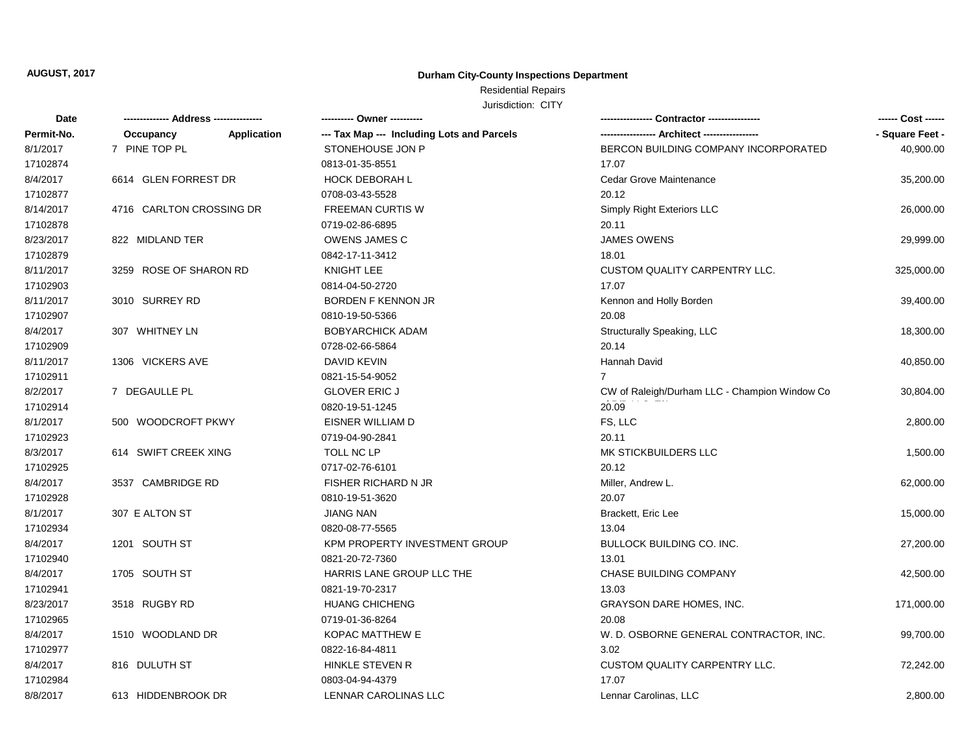# Residential Repairs

| Date       | -------------- Address --------------- |             | ---------- Owner ----------                |                                               | ------ Cost ------ |
|------------|----------------------------------------|-------------|--------------------------------------------|-----------------------------------------------|--------------------|
| Permit-No. | Occupancy                              | Application | --- Tax Map --- Including Lots and Parcels | ----------------- Architect ----------------- | - Square Feet -    |
| 8/1/2017   | 7 PINE TOP PL                          |             | STONEHOUSE JON P                           | BERCON BUILDING COMPANY INCORPORATED          | 40,900.00          |
| 17102874   |                                        |             | 0813-01-35-8551                            | 17.07                                         |                    |
| 8/4/2017   | 6614 GLEN FORREST DR                   |             | <b>HOCK DEBORAH L</b>                      | Cedar Grove Maintenance                       | 35,200.00          |
| 17102877   |                                        |             | 0708-03-43-5528                            | 20.12                                         |                    |
| 8/14/2017  | 4716 CARLTON CROSSING DR               |             | <b>FREEMAN CURTIS W</b>                    | Simply Right Exteriors LLC                    | 26,000.00          |
| 17102878   |                                        |             | 0719-02-86-6895                            | 20.11                                         |                    |
| 8/23/2017  | 822 MIDLAND TER                        |             | <b>OWENS JAMES C</b>                       | <b>JAMES OWENS</b>                            | 29,999.00          |
| 17102879   |                                        |             | 0842-17-11-3412                            | 18.01                                         |                    |
| 8/11/2017  | 3259 ROSE OF SHARON RD                 |             | <b>KNIGHT LEE</b>                          | <b>CUSTOM QUALITY CARPENTRY LLC.</b>          | 325,000.00         |
| 17102903   |                                        |             | 0814-04-50-2720                            | 17.07                                         |                    |
| 8/11/2017  | 3010 SURREY RD                         |             | BORDEN F KENNON JR                         | Kennon and Holly Borden                       | 39,400.00          |
| 17102907   |                                        |             | 0810-19-50-5366                            | 20.08                                         |                    |
| 8/4/2017   | 307 WHITNEY LN                         |             | <b>BOBYARCHICK ADAM</b>                    | Structurally Speaking, LLC                    | 18,300.00          |
| 17102909   |                                        |             | 0728-02-66-5864                            | 20.14                                         |                    |
| 8/11/2017  | 1306 VICKERS AVE                       |             | DAVID KEVIN                                | Hannah David                                  | 40,850.00          |
| 17102911   |                                        |             | 0821-15-54-9052                            | $\overline{7}$                                |                    |
| 8/2/2017   | 7 DEGAULLE PL                          |             | <b>GLOVER ERIC J</b>                       | CW of Raleigh/Durham LLC - Champion Window Co | 30,804.00          |
| 17102914   |                                        |             | 0820-19-51-1245                            | 20.09                                         |                    |
| 8/1/2017   | 500 WOODCROFT PKWY                     |             | EISNER WILLIAM D                           | FS, LLC                                       | 2,800.00           |
| 17102923   |                                        |             | 0719-04-90-2841                            | 20.11                                         |                    |
| 8/3/2017   | 614 SWIFT CREEK XING                   |             | TOLL NC LP                                 | MK STICKBUILDERS LLC                          | 1,500.00           |
| 17102925   |                                        |             | 0717-02-76-6101                            | 20.12                                         |                    |
| 8/4/2017   | 3537 CAMBRIDGE RD                      |             | <b>FISHER RICHARD N JR</b>                 | Miller, Andrew L.                             | 62,000.00          |
| 17102928   |                                        |             | 0810-19-51-3620                            | 20.07                                         |                    |
| 8/1/2017   | 307 E ALTON ST                         |             | <b>JIANG NAN</b>                           | Brackett, Eric Lee                            | 15,000.00          |
| 17102934   |                                        |             | 0820-08-77-5565                            | 13.04                                         |                    |
| 8/4/2017   | 1201 SOUTH ST                          |             | KPM PROPERTY INVESTMENT GROUP              | <b>BULLOCK BUILDING CO. INC.</b>              | 27,200.00          |
| 17102940   |                                        |             | 0821-20-72-7360                            | 13.01                                         |                    |
| 8/4/2017   | 1705 SOUTH ST                          |             | HARRIS LANE GROUP LLC THE                  | CHASE BUILDING COMPANY                        | 42,500.00          |
| 17102941   |                                        |             | 0821-19-70-2317                            | 13.03                                         |                    |
| 8/23/2017  | 3518 RUGBY RD                          |             | <b>HUANG CHICHENG</b>                      | <b>GRAYSON DARE HOMES, INC.</b>               | 171,000.00         |
| 17102965   |                                        |             | 0719-01-36-8264                            | 20.08                                         |                    |
| 8/4/2017   | 1510 WOODLAND DR                       |             | <b>KOPAC MATTHEW E</b>                     | W. D. OSBORNE GENERAL CONTRACTOR, INC.        | 99,700.00          |
| 17102977   |                                        |             | 0822-16-84-4811                            | 3.02                                          |                    |
| 8/4/2017   | 816 DULUTH ST                          |             | HINKLE STEVEN R                            | CUSTOM QUALITY CARPENTRY LLC.                 | 72,242.00          |
| 17102984   |                                        |             | 0803-04-94-4379                            | 17.07                                         |                    |
| 8/8/2017   | 613 HIDDENBROOK DR                     |             | LENNAR CAROLINAS LLC                       | Lennar Carolinas, LLC                         | 2,800.00           |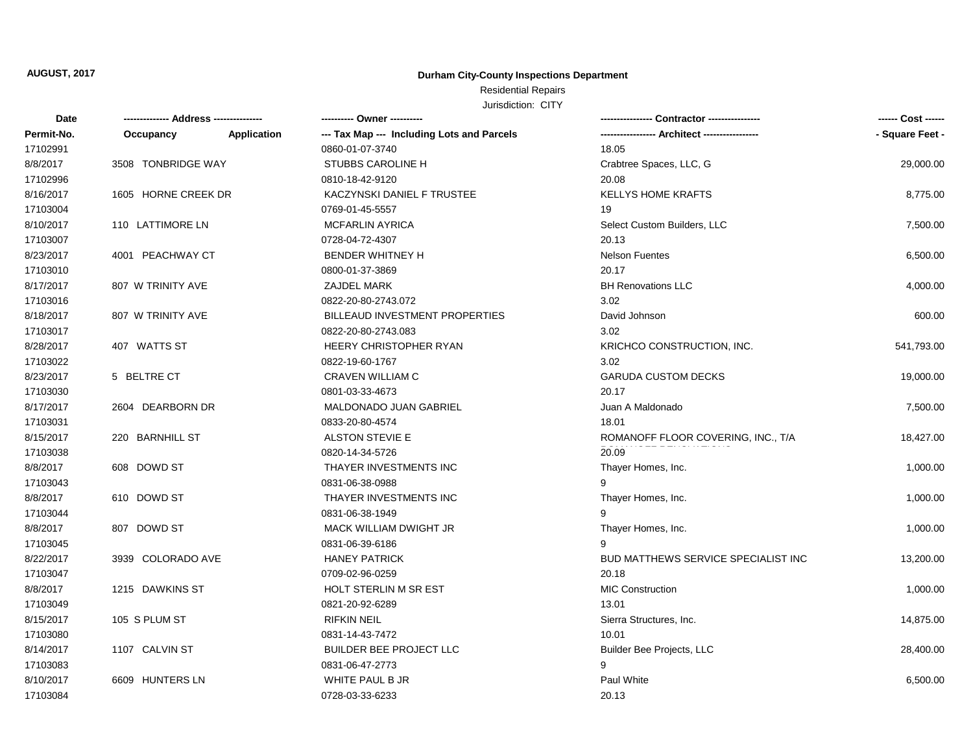## Residential Repairs

| <b>Date</b> |                     |             | ---------- Owner ----------                |                                            |                 |
|-------------|---------------------|-------------|--------------------------------------------|--------------------------------------------|-----------------|
| Permit-No.  | Occupancy           | Application | --- Tax Map --- Including Lots and Parcels |                                            | - Square Feet - |
| 17102991    |                     |             | 0860-01-07-3740                            | 18.05                                      |                 |
| 8/8/2017    | 3508 TONBRIDGE WAY  |             | <b>STUBBS CAROLINE H</b>                   | Crabtree Spaces, LLC, G                    | 29,000.00       |
| 17102996    |                     |             | 0810-18-42-9120                            | 20.08                                      |                 |
| 8/16/2017   | 1605 HORNE CREEK DR |             | KACZYNSKI DANIEL F TRUSTEE                 | <b>KELLYS HOME KRAFTS</b>                  | 8,775.00        |
| 17103004    |                     |             | 0769-01-45-5557                            | 19                                         |                 |
| 8/10/2017   | 110 LATTIMORE LN    |             | <b>MCFARLIN AYRICA</b>                     | Select Custom Builders, LLC                | 7,500.00        |
| 17103007    |                     |             | 0728-04-72-4307                            | 20.13                                      |                 |
| 8/23/2017   | 4001 PEACHWAY CT    |             | <b>BENDER WHITNEY H</b>                    | <b>Nelson Fuentes</b>                      | 6,500.00        |
| 17103010    |                     |             | 0800-01-37-3869                            | 20.17                                      |                 |
| 8/17/2017   | 807 W TRINITY AVE   |             | ZAJDEL MARK                                | <b>BH Renovations LLC</b>                  | 4,000.00        |
| 17103016    |                     |             | 0822-20-80-2743.072                        | 3.02                                       |                 |
| 8/18/2017   | 807 W TRINITY AVE   |             | BILLEAUD INVESTMENT PROPERTIES             | David Johnson                              | 600.00          |
| 17103017    |                     |             | 0822-20-80-2743.083                        | 3.02                                       |                 |
| 8/28/2017   | 407 WATTS ST        |             | HEERY CHRISTOPHER RYAN                     | KRICHCO CONSTRUCTION, INC.                 | 541,793.00      |
| 17103022    |                     |             | 0822-19-60-1767                            | 3.02                                       |                 |
| 8/23/2017   | 5 BELTRE CT         |             | <b>CRAVEN WILLIAM C</b>                    | <b>GARUDA CUSTOM DECKS</b>                 | 19,000.00       |
| 17103030    |                     |             | 0801-03-33-4673                            | 20.17                                      |                 |
| 8/17/2017   | 2604 DEARBORN DR    |             | MALDONADO JUAN GABRIEL                     | Juan A Maldonado                           | 7,500.00        |
| 17103031    |                     |             | 0833-20-80-4574                            | 18.01                                      |                 |
| 8/15/2017   | 220 BARNHILL ST     |             | ALSTON STEVIE E                            | ROMANOFF FLOOR COVERING, INC., T/A         | 18,427.00       |
| 17103038    |                     |             | 0820-14-34-5726                            | 20.09                                      |                 |
| 8/8/2017    | 608 DOWD ST         |             | THAYER INVESTMENTS INC                     | Thayer Homes, Inc.                         | 1,000.00        |
| 17103043    |                     |             | 0831-06-38-0988                            | 9                                          |                 |
| 8/8/2017    | 610 DOWD ST         |             | THAYER INVESTMENTS INC                     | Thayer Homes, Inc.                         | 1,000.00        |
| 17103044    |                     |             | 0831-06-38-1949                            | 9                                          |                 |
| 8/8/2017    | 807 DOWD ST         |             | MACK WILLIAM DWIGHT JR                     | Thayer Homes, Inc.                         | 1,000.00        |
| 17103045    |                     |             | 0831-06-39-6186                            | g                                          |                 |
| 8/22/2017   | 3939 COLORADO AVE   |             | <b>HANEY PATRICK</b>                       | <b>BUD MATTHEWS SERVICE SPECIALIST INC</b> | 13,200.00       |
| 17103047    |                     |             | 0709-02-96-0259                            | 20.18                                      |                 |
| 8/8/2017    | 1215 DAWKINS ST     |             | HOLT STERLIN M SR EST                      | <b>MIC Construction</b>                    | 1,000.00        |
| 17103049    |                     |             | 0821-20-92-6289                            | 13.01                                      |                 |
| 8/15/2017   | 105 S PLUM ST       |             | <b>RIFKIN NEIL</b>                         | Sierra Structures, Inc.                    | 14,875.00       |
| 17103080    |                     |             | 0831-14-43-7472                            | 10.01                                      |                 |
| 8/14/2017   | 1107 CALVIN ST      |             | <b>BUILDER BEE PROJECT LLC</b>             | Builder Bee Projects, LLC                  | 28,400.00       |
| 17103083    |                     |             | 0831-06-47-2773                            | 9                                          |                 |
| 8/10/2017   | 6609 HUNTERS LN     |             | WHITE PAUL B JR                            | Paul White                                 | 6,500.00        |
| 17103084    |                     |             | 0728-03-33-6233                            | 20.13                                      |                 |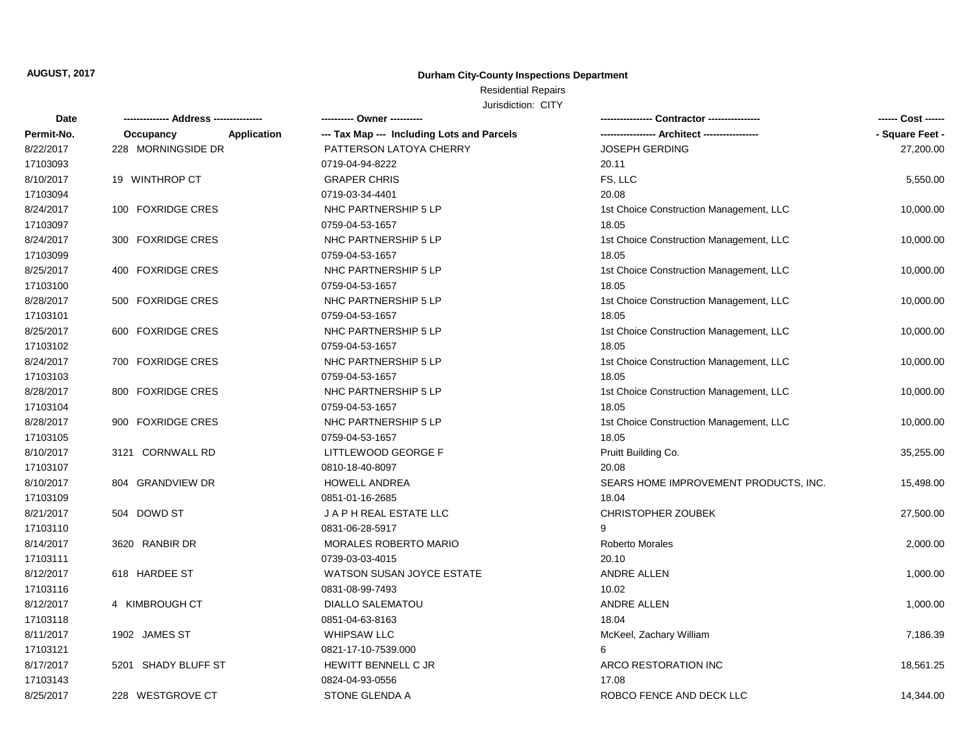# Residential Repairs

| Date       |                     |             | ---------- Owner ----------                |                                         | ------ Cost ------ |
|------------|---------------------|-------------|--------------------------------------------|-----------------------------------------|--------------------|
| Permit-No. | Occupancy           | Application | --- Tax Map --- Including Lots and Parcels |                                         | - Square Feet -    |
| 8/22/2017  | 228 MORNINGSIDE DR  |             | PATTERSON LATOYA CHERRY                    | <b>JOSEPH GERDING</b>                   | 27,200.00          |
| 17103093   |                     |             | 0719-04-94-8222                            | 20.11                                   |                    |
| 8/10/2017  | 19 WINTHROP CT      |             | <b>GRAPER CHRIS</b>                        | FS, LLC                                 | 5,550.00           |
| 17103094   |                     |             | 0719-03-34-4401                            | 20.08                                   |                    |
| 8/24/2017  | 100 FOXRIDGE CRES   |             | NHC PARTNERSHIP 5 LP                       | 1st Choice Construction Management, LLC | 10,000.00          |
| 17103097   |                     |             | 0759-04-53-1657                            | 18.05                                   |                    |
| 8/24/2017  | 300 FOXRIDGE CRES   |             | NHC PARTNERSHIP 5 LP                       | 1st Choice Construction Management, LLC | 10,000.00          |
| 17103099   |                     |             | 0759-04-53-1657                            | 18.05                                   |                    |
| 8/25/2017  | 400 FOXRIDGE CRES   |             | NHC PARTNERSHIP 5 LP                       | 1st Choice Construction Management, LLC | 10,000.00          |
| 17103100   |                     |             | 0759-04-53-1657                            | 18.05                                   |                    |
| 8/28/2017  | 500 FOXRIDGE CRES   |             | NHC PARTNERSHIP 5 LP                       | 1st Choice Construction Management, LLC | 10,000.00          |
| 17103101   |                     |             | 0759-04-53-1657                            | 18.05                                   |                    |
| 8/25/2017  | 600 FOXRIDGE CRES   |             | NHC PARTNERSHIP 5 LP                       | 1st Choice Construction Management, LLC | 10,000.00          |
| 17103102   |                     |             | 0759-04-53-1657                            | 18.05                                   |                    |
| 8/24/2017  | 700 FOXRIDGE CRES   |             | NHC PARTNERSHIP 5 LP                       | 1st Choice Construction Management, LLC | 10,000.00          |
| 17103103   |                     |             | 0759-04-53-1657                            | 18.05                                   |                    |
| 8/28/2017  | 800 FOXRIDGE CRES   |             | NHC PARTNERSHIP 5 LP                       | 1st Choice Construction Management, LLC | 10,000.00          |
| 17103104   |                     |             | 0759-04-53-1657                            | 18.05                                   |                    |
| 8/28/2017  | 900 FOXRIDGE CRES   |             | NHC PARTNERSHIP 5 LP                       | 1st Choice Construction Management, LLC | 10,000.00          |
| 17103105   |                     |             | 0759-04-53-1657                            | 18.05                                   |                    |
| 8/10/2017  | 3121 CORNWALL RD    |             | LITTLEWOOD GEORGE F                        | Pruitt Building Co.                     | 35,255.00          |
| 17103107   |                     |             | 0810-18-40-8097                            | 20.08                                   |                    |
| 8/10/2017  | 804 GRANDVIEW DR    |             | <b>HOWELL ANDREA</b>                       | SEARS HOME IMPROVEMENT PRODUCTS, INC.   | 15,498.00          |
| 17103109   |                     |             | 0851-01-16-2685                            | 18.04                                   |                    |
| 8/21/2017  | 504 DOWD ST         |             | J A P H REAL ESTATE LLC                    | <b>CHRISTOPHER ZOUBEK</b>               | 27,500.00          |
| 17103110   |                     |             | 0831-06-28-5917                            | 9                                       |                    |
| 8/14/2017  | 3620 RANBIR DR      |             | <b>MORALES ROBERTO MARIO</b>               | Roberto Morales                         | 2,000.00           |
| 17103111   |                     |             | 0739-03-03-4015                            | 20.10                                   |                    |
| 8/12/2017  | 618 HARDEE ST       |             | WATSON SUSAN JOYCE ESTATE                  | ANDRE ALLEN                             | 1,000.00           |
| 17103116   |                     |             | 0831-08-99-7493                            | 10.02                                   |                    |
| 8/12/2017  | 4 KIMBROUGH CT      |             | <b>DIALLO SALEMATOU</b>                    | ANDRE ALLEN                             | 1,000.00           |
| 17103118   |                     |             | 0851-04-63-8163                            | 18.04                                   |                    |
| 8/11/2017  | 1902 JAMES ST       |             | <b>WHIPSAW LLC</b>                         | McKeel, Zachary William                 | 7,186.39           |
| 17103121   |                     |             | 0821-17-10-7539.000                        | 6                                       |                    |
| 8/17/2017  | 5201 SHADY BLUFF ST |             | HEWITT BENNELL C JR                        | ARCO RESTORATION INC                    | 18,561.25          |
| 17103143   |                     |             | 0824-04-93-0556                            | 17.08                                   |                    |
| 8/25/2017  | 228 WESTGROVE CT    |             | STONE GLENDA A                             | ROBCO FENCE AND DECK LLC                | 14,344.00          |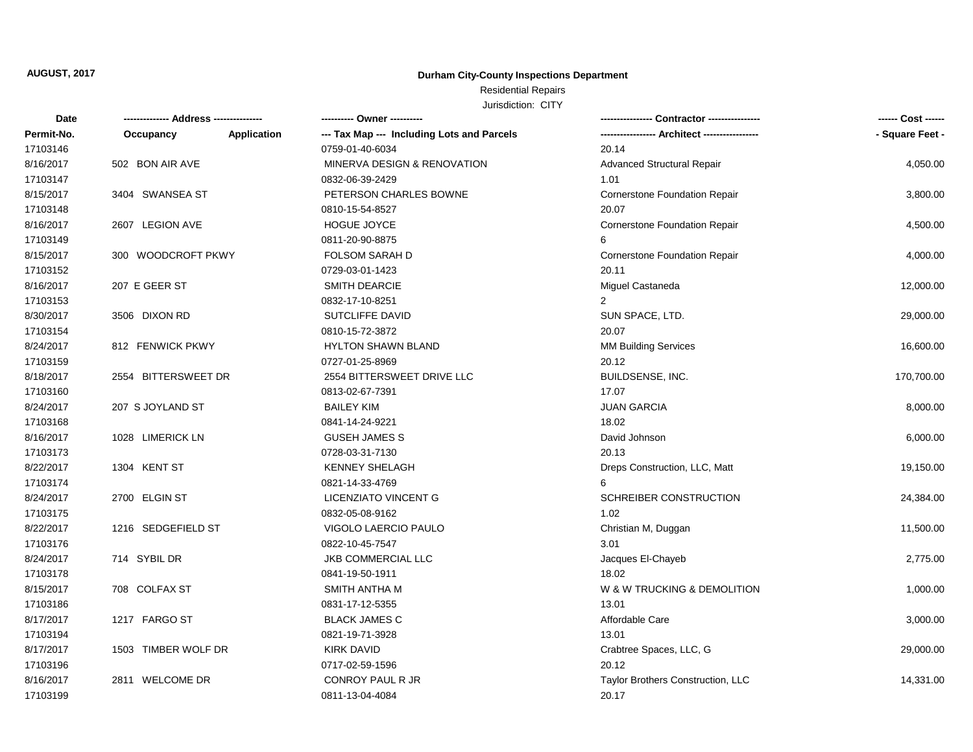## Residential Repairs

| Date       | -------------- Address --------------- |             | ---------- Owner ----------                |                                      | ------ Cost ------ |
|------------|----------------------------------------|-------------|--------------------------------------------|--------------------------------------|--------------------|
| Permit-No. | Occupancy                              | Application | --- Tax Map --- Including Lots and Parcels |                                      | - Square Feet -    |
| 17103146   |                                        |             | 0759-01-40-6034                            | 20.14                                |                    |
| 8/16/2017  | 502 BON AIR AVE                        |             | MINERVA DESIGN & RENOVATION                | <b>Advanced Structural Repair</b>    | 4,050.00           |
| 17103147   |                                        |             | 0832-06-39-2429                            | 1.01                                 |                    |
| 8/15/2017  | 3404 SWANSEA ST                        |             | PETERSON CHARLES BOWNE                     | Cornerstone Foundation Repair        | 3,800.00           |
| 17103148   |                                        |             | 0810-15-54-8527                            | 20.07                                |                    |
| 8/16/2017  | 2607 LEGION AVE                        |             | HOGUE JOYCE                                | <b>Cornerstone Foundation Repair</b> | 4,500.00           |
| 17103149   |                                        |             | 0811-20-90-8875                            | 6                                    |                    |
| 8/15/2017  | 300 WOODCROFT PKWY                     |             | FOLSOM SARAH D                             | <b>Cornerstone Foundation Repair</b> | 4,000.00           |
| 17103152   |                                        |             | 0729-03-01-1423                            | 20.11                                |                    |
| 8/16/2017  | 207 E GEER ST                          |             | <b>SMITH DEARCIE</b>                       | Miguel Castaneda                     | 12,000.00          |
| 17103153   |                                        |             | 0832-17-10-8251                            | $\overline{2}$                       |                    |
| 8/30/2017  | 3506 DIXON RD                          |             | SUTCLIFFE DAVID                            | SUN SPACE, LTD.                      | 29,000.00          |
| 17103154   |                                        |             | 0810-15-72-3872                            | 20.07                                |                    |
| 8/24/2017  | 812 FENWICK PKWY                       |             | <b>HYLTON SHAWN BLAND</b>                  | <b>MM Building Services</b>          | 16,600.00          |
| 17103159   |                                        |             | 0727-01-25-8969                            | 20.12                                |                    |
| 8/18/2017  | 2554 BITTERSWEET DR                    |             | 2554 BITTERSWEET DRIVE LLC                 | BUILDSENSE, INC.                     | 170,700.00         |
| 17103160   |                                        |             | 0813-02-67-7391                            | 17.07                                |                    |
| 8/24/2017  | 207 S JOYLAND ST                       |             | <b>BAILEY KIM</b>                          | <b>JUAN GARCIA</b>                   | 8,000.00           |
| 17103168   |                                        |             | 0841-14-24-9221                            | 18.02                                |                    |
| 8/16/2017  | 1028 LIMERICK LN                       |             | <b>GUSEH JAMES S</b>                       | David Johnson                        | 6,000.00           |
| 17103173   |                                        |             | 0728-03-31-7130                            | 20.13                                |                    |
| 8/22/2017  | 1304 KENT ST                           |             | KENNEY SHELAGH                             | Dreps Construction, LLC, Matt        | 19,150.00          |
| 17103174   |                                        |             | 0821-14-33-4769                            | 6                                    |                    |
| 8/24/2017  | 2700 ELGIN ST                          |             | LICENZIATO VINCENT G                       | SCHREIBER CONSTRUCTION               | 24,384.00          |
| 17103175   |                                        |             | 0832-05-08-9162                            | 1.02                                 |                    |
| 8/22/2017  | 1216 SEDGEFIELD ST                     |             | VIGOLO LAERCIO PAULO                       | Christian M, Duggan                  | 11,500.00          |
| 17103176   |                                        |             | 0822-10-45-7547                            | 3.01                                 |                    |
| 8/24/2017  | 714 SYBIL DR                           |             | JKB COMMERCIAL LLC                         | Jacques El-Chayeb                    | 2,775.00           |
| 17103178   |                                        |             | 0841-19-50-1911                            | 18.02                                |                    |
| 8/15/2017  | 708 COLFAX ST                          |             | SMITH ANTHA M                              | W & W TRUCKING & DEMOLITION          | 1,000.00           |
| 17103186   |                                        |             | 0831-17-12-5355                            | 13.01                                |                    |
| 8/17/2017  | 1217 FARGO ST                          |             | <b>BLACK JAMES C</b>                       | Affordable Care                      | 3,000.00           |
| 17103194   |                                        |             | 0821-19-71-3928                            | 13.01                                |                    |
| 8/17/2017  | 1503 TIMBER WOLF DR                    |             | <b>KIRK DAVID</b>                          | Crabtree Spaces, LLC, G              | 29,000.00          |
| 17103196   |                                        |             | 0717-02-59-1596                            | 20.12                                |                    |
| 8/16/2017  | 2811 WELCOME DR                        |             | <b>CONROY PAUL R JR</b>                    | Taylor Brothers Construction, LLC    | 14,331.00          |
| 17103199   |                                        |             | 0811-13-04-4084                            | 20.17                                |                    |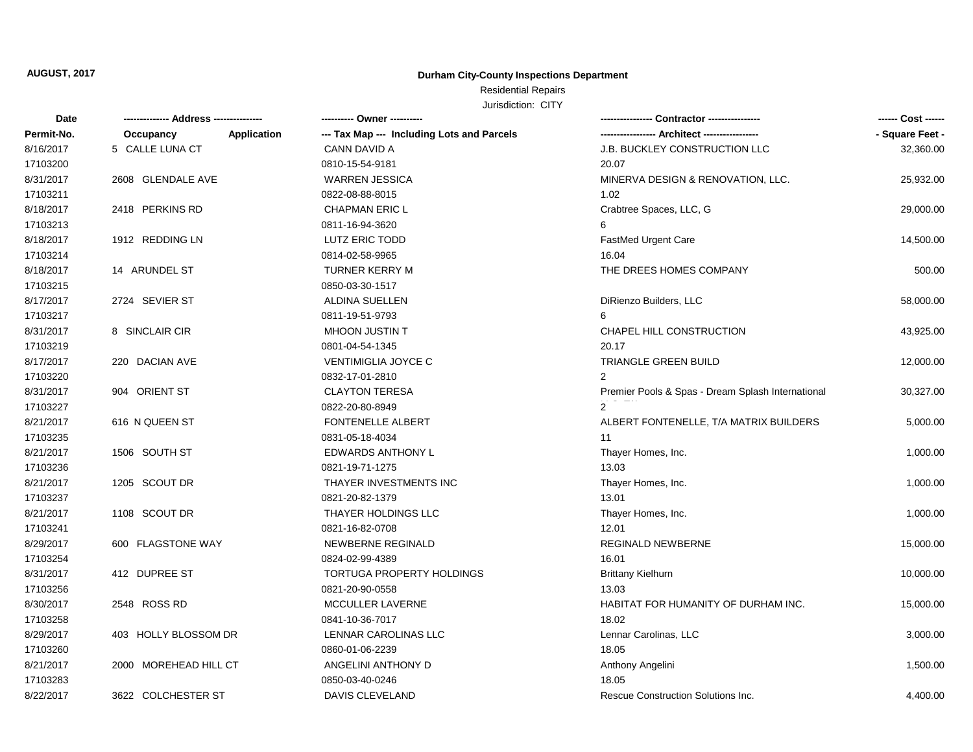# Residential Repairs

| Date       | ------------- Address -------------- | ---------- Owner ----------                |                                                   | ------ Cost ------ |
|------------|--------------------------------------|--------------------------------------------|---------------------------------------------------|--------------------|
| Permit-No. | Occupancy<br><b>Application</b>      | --- Tax Map --- Including Lots and Parcels |                                                   | - Square Feet -    |
| 8/16/2017  | 5 CALLE LUNA CT                      | CANN DAVID A                               | J.B. BUCKLEY CONSTRUCTION LLC                     | 32,360.00          |
| 17103200   |                                      | 0810-15-54-9181                            | 20.07                                             |                    |
| 8/31/2017  | 2608 GLENDALE AVE                    | <b>WARREN JESSICA</b>                      | MINERVA DESIGN & RENOVATION, LLC.                 | 25,932.00          |
| 17103211   |                                      | 0822-08-88-8015                            | 1.02                                              |                    |
| 8/18/2017  | 2418 PERKINS RD                      | <b>CHAPMAN ERIC L</b>                      | Crabtree Spaces, LLC, G                           | 29,000.00          |
| 17103213   |                                      | 0811-16-94-3620                            | 6                                                 |                    |
| 8/18/2017  | 1912 REDDING LN                      | LUTZ ERIC TODD                             | FastMed Urgent Care                               | 14,500.00          |
| 17103214   |                                      | 0814-02-58-9965                            | 16.04                                             |                    |
| 8/18/2017  | 14 ARUNDEL ST                        | <b>TURNER KERRY M</b>                      | THE DREES HOMES COMPANY                           | 500.00             |
| 17103215   |                                      | 0850-03-30-1517                            |                                                   |                    |
| 8/17/2017  | 2724 SEVIER ST                       | ALDINA SUELLEN                             | DiRienzo Builders, LLC                            | 58,000.00          |
| 17103217   |                                      | 0811-19-51-9793                            | 6                                                 |                    |
| 8/31/2017  | 8 SINCLAIR CIR                       | MHOON JUSTIN T                             | CHAPEL HILL CONSTRUCTION                          | 43,925.00          |
| 17103219   |                                      | 0801-04-54-1345                            | 20.17                                             |                    |
| 8/17/2017  | 220 DACIAN AVE                       | VENTIMIGLIA JOYCE C                        | TRIANGLE GREEN BUILD                              | 12,000.00          |
| 17103220   |                                      | 0832-17-01-2810                            | 2                                                 |                    |
| 8/31/2017  | 904 ORIENT ST                        | <b>CLAYTON TERESA</b>                      | Premier Pools & Spas - Dream Splash International | 30,327.00          |
| 17103227   |                                      | 0822-20-80-8949                            |                                                   |                    |
| 8/21/2017  | 616 N QUEEN ST                       | FONTENELLE ALBERT                          | ALBERT FONTENELLE, T/A MATRIX BUILDERS            | 5,000.00           |
| 17103235   |                                      | 0831-05-18-4034                            | 11                                                |                    |
| 8/21/2017  | 1506 SOUTH ST                        | EDWARDS ANTHONY L                          | Thayer Homes, Inc.                                | 1,000.00           |
| 17103236   |                                      | 0821-19-71-1275                            | 13.03                                             |                    |
| 8/21/2017  | 1205 SCOUT DR                        | THAYER INVESTMENTS INC                     | Thayer Homes, Inc.                                | 1,000.00           |
| 17103237   |                                      | 0821-20-82-1379                            | 13.01                                             |                    |
| 8/21/2017  | 1108 SCOUT DR                        | THAYER HOLDINGS LLC                        | Thayer Homes, Inc.                                | 1,000.00           |
| 17103241   |                                      | 0821-16-82-0708                            | 12.01                                             |                    |
| 8/29/2017  | 600 FLAGSTONE WAY                    | NEWBERNE REGINALD                          | <b>REGINALD NEWBERNE</b>                          | 15,000.00          |
| 17103254   |                                      | 0824-02-99-4389                            | 16.01                                             |                    |
| 8/31/2017  | 412 DUPREE ST                        | TORTUGA PROPERTY HOLDINGS                  | <b>Brittany Kielhurn</b>                          | 10,000.00          |
| 17103256   |                                      | 0821-20-90-0558                            | 13.03                                             |                    |
| 8/30/2017  | 2548 ROSS RD                         | MCCULLER LAVERNE                           | <b>HABITAT FOR HUMANITY OF DURHAM INC.</b>        | 15,000.00          |
| 17103258   |                                      | 0841-10-36-7017                            | 18.02                                             |                    |
| 8/29/2017  | 403 HOLLY BLOSSOM DR                 | LENNAR CAROLINAS LLC                       | Lennar Carolinas, LLC                             | 3,000.00           |
| 17103260   |                                      | 0860-01-06-2239                            | 18.05                                             |                    |
| 8/21/2017  | 2000 MOREHEAD HILL CT                | ANGELINI ANTHONY D                         | Anthony Angelini                                  | 1,500.00           |
| 17103283   |                                      | 0850-03-40-0246                            | 18.05                                             |                    |
| 8/22/2017  | 3622 COLCHESTER ST                   | DAVIS CLEVELAND                            | Rescue Construction Solutions Inc.                | 4,400.00           |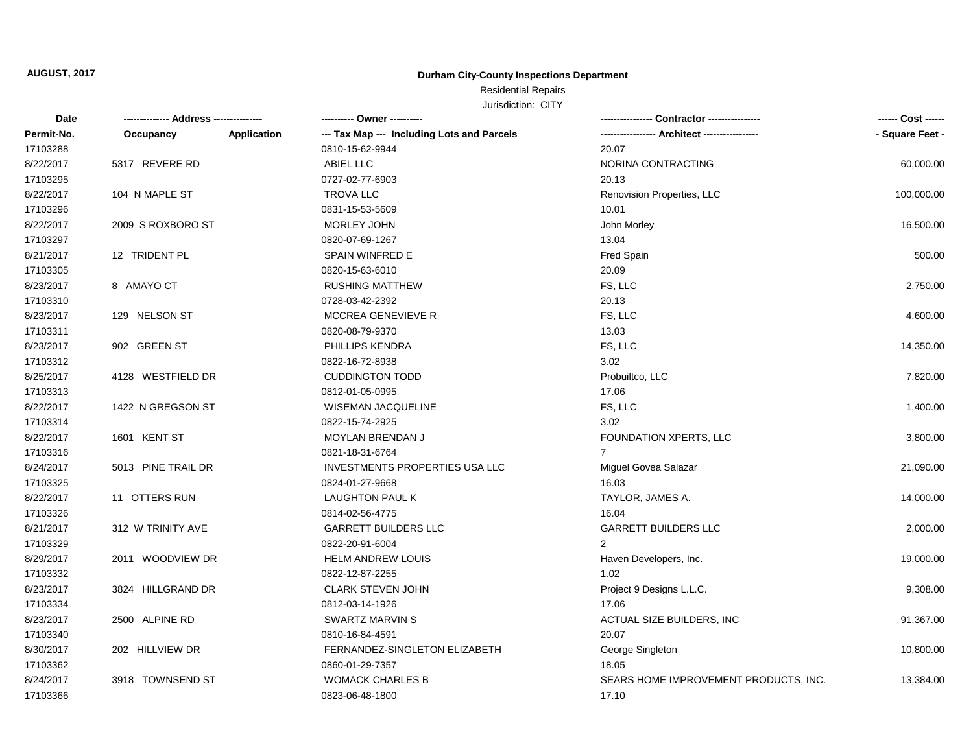# Residential Repairs

| Date       |                    |             | ---------- Owner ----------                |                                       | ------ Cost ------ |
|------------|--------------------|-------------|--------------------------------------------|---------------------------------------|--------------------|
| Permit-No. | Occupancy          | Application | --- Tax Map --- Including Lots and Parcels |                                       | - Square Feet -    |
| 17103288   |                    |             | 0810-15-62-9944                            | 20.07                                 |                    |
| 8/22/2017  | 5317 REVERE RD     |             | ABIEL LLC                                  | NORINA CONTRACTING                    | 60,000.00          |
| 17103295   |                    |             | 0727-02-77-6903                            | 20.13                                 |                    |
| 8/22/2017  | 104 N MAPLE ST     |             | <b>TROVA LLC</b>                           | Renovision Properties, LLC            | 100,000.00         |
| 17103296   |                    |             | 0831-15-53-5609                            | 10.01                                 |                    |
| 8/22/2017  | 2009 S ROXBORO ST  |             | <b>MORLEY JOHN</b>                         | John Morley                           | 16,500.00          |
| 17103297   |                    |             | 0820-07-69-1267                            | 13.04                                 |                    |
| 8/21/2017  | 12 TRIDENT PL      |             | SPAIN WINFRED E                            | Fred Spain                            | 500.00             |
| 17103305   |                    |             | 0820-15-63-6010                            | 20.09                                 |                    |
| 8/23/2017  | 8 AMAYO CT         |             | <b>RUSHING MATTHEW</b>                     | FS, LLC                               | 2,750.00           |
| 17103310   |                    |             | 0728-03-42-2392                            | 20.13                                 |                    |
| 8/23/2017  | 129 NELSON ST      |             | <b>MCCREA GENEVIEVE R</b>                  | FS, LLC                               | 4,600.00           |
| 17103311   |                    |             | 0820-08-79-9370                            | 13.03                                 |                    |
| 8/23/2017  | 902 GREEN ST       |             | PHILLIPS KENDRA                            | FS, LLC                               | 14,350.00          |
| 17103312   |                    |             | 0822-16-72-8938                            | 3.02                                  |                    |
| 8/25/2017  | 4128 WESTFIELD DR  |             | <b>CUDDINGTON TODD</b>                     | Probuiltco, LLC                       | 7,820.00           |
| 17103313   |                    |             | 0812-01-05-0995                            | 17.06                                 |                    |
| 8/22/2017  | 1422 N GREGSON ST  |             | <b>WISEMAN JACQUELINE</b>                  | FS, LLC                               | 1,400.00           |
| 17103314   |                    |             | 0822-15-74-2925                            | 3.02                                  |                    |
| 8/22/2017  | 1601 KENT ST       |             | MOYLAN BRENDAN J                           | FOUNDATION XPERTS, LLC                | 3,800.00           |
| 17103316   |                    |             | 0821-18-31-6764                            | $\overline{7}$                        |                    |
| 8/24/2017  | 5013 PINE TRAIL DR |             | <b>INVESTMENTS PROPERTIES USA LLC</b>      | Miguel Govea Salazar                  | 21,090.00          |
| 17103325   |                    |             | 0824-01-27-9668                            | 16.03                                 |                    |
| 8/22/2017  | 11 OTTERS RUN      |             | LAUGHTON PAUL K                            | TAYLOR, JAMES A.                      | 14,000.00          |
| 17103326   |                    |             | 0814-02-56-4775                            | 16.04                                 |                    |
| 8/21/2017  | 312 W TRINITY AVE  |             | <b>GARRETT BUILDERS LLC</b>                | <b>GARRETT BUILDERS LLC</b>           | 2,000.00           |
| 17103329   |                    |             | 0822-20-91-6004                            | $\overline{2}$                        |                    |
| 8/29/2017  | 2011 WOODVIEW DR   |             | <b>HELM ANDREW LOUIS</b>                   | Haven Developers, Inc.                | 19,000.00          |
| 17103332   |                    |             | 0822-12-87-2255                            | 1.02                                  |                    |
| 8/23/2017  | 3824 HILLGRAND DR  |             | CLARK STEVEN JOHN                          | Project 9 Designs L.L.C.              | 9,308.00           |
| 17103334   |                    |             | 0812-03-14-1926                            | 17.06                                 |                    |
| 8/23/2017  | 2500 ALPINE RD     |             | <b>SWARTZ MARVIN S</b>                     | ACTUAL SIZE BUILDERS, INC             | 91,367.00          |
| 17103340   |                    |             | 0810-16-84-4591                            | 20.07                                 |                    |
| 8/30/2017  | 202 HILLVIEW DR    |             | FERNANDEZ-SINGLETON ELIZABETH              | George Singleton                      | 10,800.00          |
| 17103362   |                    |             | 0860-01-29-7357                            | 18.05                                 |                    |
| 8/24/2017  | 3918 TOWNSEND ST   |             | <b>WOMACK CHARLES B</b>                    | SEARS HOME IMPROVEMENT PRODUCTS, INC. | 13,384.00          |
| 17103366   |                    |             | 0823-06-48-1800                            | 17.10                                 |                    |